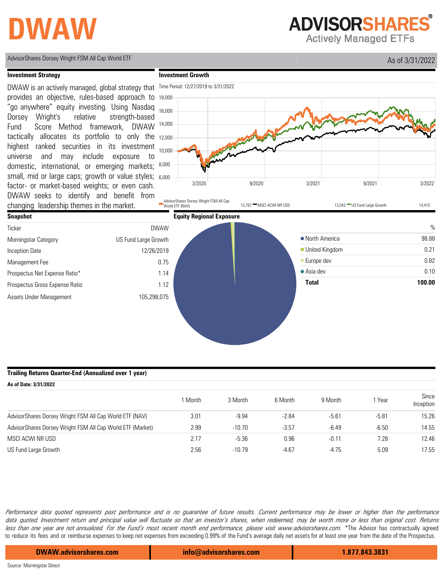# **DWAW**

**ADVISORSHARES** 

**Actively Managed ETFs** 



AdvisorShares Dorsey Wright FSM All Cap World ETF **All Cap World ETF** 2002 AdvisorShares Dorsey Wright FSM All Cap World ETF

#### **Trailing Returns Quarter-End (Annualized over 1 year)**

| As of Date: 3/31/2022                                      |         |          |         |         |         |                    |  |
|------------------------------------------------------------|---------|----------|---------|---------|---------|--------------------|--|
|                                                            | I Month | 3 Month  | 6 Month | 9 Month | Year    | Since<br>Inception |  |
| AdvisorShares Dorsey Wright FSM All Cap World ETF (NAV)    | 3.01    | $-9.94$  | $-2.84$ | $-5.61$ | $-5.81$ | 15.26              |  |
| AdvisorShares Dorsey Wright FSM All Cap World ETF (Market) | 2.99    | $-10.70$ | $-3.57$ | $-6.49$ | $-6.50$ | 14.55              |  |
| MSCI ACWI NR USD                                           | 2.17    | $-5.36$  | 0.96    | $-0.11$ | 7.28    | 12.46              |  |
| US Fund Large Growth                                       | 2.56    | $-10.79$ | $-4.67$ | $-4.75$ | 5.09    | 17.55              |  |

Performance data quoted represents past performance and is no guarantee of future results. Current performance may be lower or higher than the performance data quoted. Investment return and principal value will fluctuate so that an investor's shares, when redeemed, may be worth more or less than original cost. Returns less than one year are not annualized. For the Fund's most recent month end performance, please visit www.advisorshares.com. \*The Advisor has contractually agreed to reduce its fees and or reimburse expenses to keep net expenses from exceeding 0.99% of the Fund's average daily net assets for at least one year from the date of the Prospectus.

**DWAW.advisorshares.com info@advisorshares.com 1.877.843.3831**